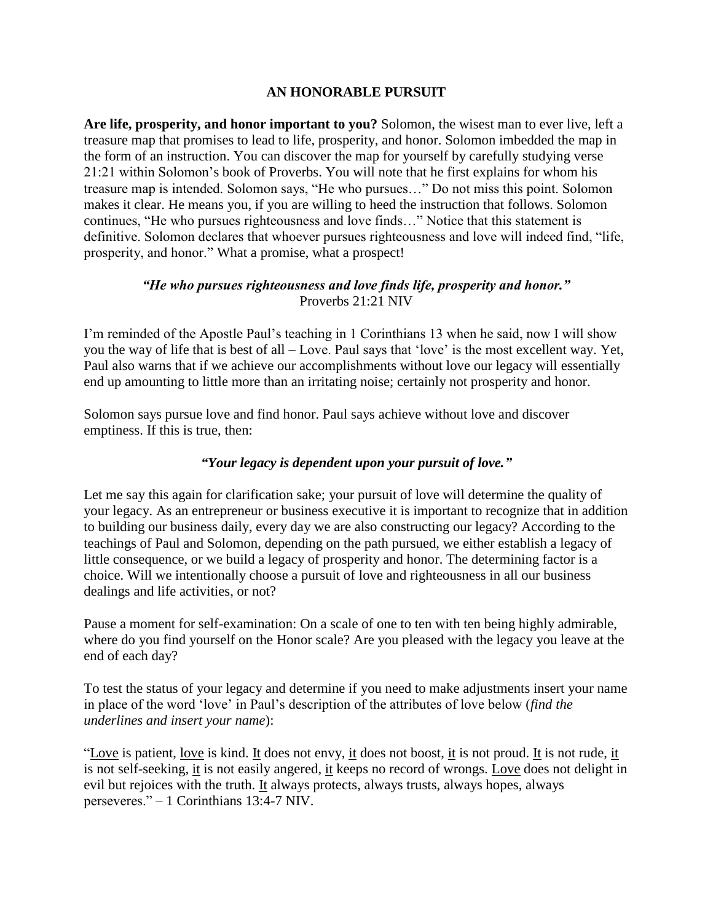## **AN HONORABLE PURSUIT**

**Are life, prosperity, and honor important to you?** Solomon, the wisest man to ever live, left a treasure map that promises to lead to life, prosperity, and honor. Solomon imbedded the map in the form of an instruction. You can discover the map for yourself by carefully studying verse 21:21 within Solomon's book of Proverbs. You will note that he first explains for whom his treasure map is intended. Solomon says, "He who pursues…" Do not miss this point. Solomon makes it clear. He means you, if you are willing to heed the instruction that follows. Solomon continues, "He who pursues righteousness and love finds…" Notice that this statement is definitive. Solomon declares that whoever pursues righteousness and love will indeed find, "life, prosperity, and honor." What a promise, what a prospect!

## *"He who pursues righteousness and love finds life, prosperity and honor."* Proverbs 21:21 NIV

I'm reminded of the Apostle Paul's teaching in 1 Corinthians 13 when he said, now I will show you the way of life that is best of all – Love. Paul says that 'love' is the most excellent way. Yet, Paul also warns that if we achieve our accomplishments without love our legacy will essentially end up amounting to little more than an irritating noise; certainly not prosperity and honor.

Solomon says pursue love and find honor. Paul says achieve without love and discover emptiness. If this is true, then:

## *"Your legacy is dependent upon your pursuit of love."*

Let me say this again for clarification sake; your pursuit of love will determine the quality of your legacy. As an entrepreneur or business executive it is important to recognize that in addition to building our business daily, every day we are also constructing our legacy? According to the teachings of Paul and Solomon, depending on the path pursued, we either establish a legacy of little consequence, or we build a legacy of prosperity and honor. The determining factor is a choice. Will we intentionally choose a pursuit of love and righteousness in all our business dealings and life activities, or not?

Pause a moment for self-examination: On a scale of one to ten with ten being highly admirable, where do you find yourself on the Honor scale? Are you pleased with the legacy you leave at the end of each day?

To test the status of your legacy and determine if you need to make adjustments insert your name in place of the word 'love' in Paul's description of the attributes of love below (*find the underlines and insert your name*):

"Love is patient, love is kind. It does not envy, it does not boost, it is not proud. It is not rude, it is not self-seeking, it is not easily angered, it keeps no record of wrongs. Love does not delight in evil but rejoices with the truth. It always protects, always trusts, always hopes, always perseveres." – 1 Corinthians 13:4-7 NIV.